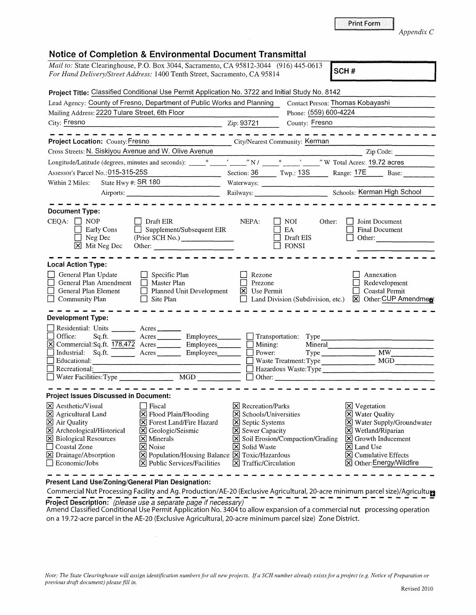| <i>Mail to:</i> State Clearinghouse, P.O. Box 3044, Sacramento, CA 95812-3044 (916) 445-0613 | SCH# |
|----------------------------------------------------------------------------------------------|------|
| <i>For Hand Delivery/Street Address:</i> 1400 Tenth Street, Sacramento, CA 95814             |      |

| Project Title: Classified Conditional Use Permit Application No. 3722 and Initial Study No. 8142 |                                                                    |                                 |                                          |                                        |
|--------------------------------------------------------------------------------------------------|--------------------------------------------------------------------|---------------------------------|------------------------------------------|----------------------------------------|
| Lead Agency: County of Fresno, Department of Public Works and Planning                           |                                                                    |                                 |                                          | Contact Person: Thomas Kobayashi       |
| Mailing Address: 2220 Tulare Street, 6th Floor                                                   |                                                                    |                                 | Phone: (559) 600-4224                    |                                        |
| City: Fresno                                                                                     | $\overline{2ip:}$ 93721                                            |                                 | County: Fresno                           |                                        |
|                                                                                                  |                                                                    |                                 |                                          | -----------                            |
| Project Location: County: Fresno                                                                 | City/Nearest Community: Kerman                                     |                                 |                                          |                                        |
| Cross Streets: N. Siskiyou Avenue and W. Olive Avenue                                            |                                                                    |                                 |                                          | Zip Code:                              |
|                                                                                                  |                                                                    |                                 |                                          |                                        |
| Assessor's Parcel No.: 015-315-25S                                                               |                                                                    |                                 |                                          | Section: 36 Twp.: 13S Range: 17E Base: |
| State Hwy #: SR 180<br>Within 2 Miles:                                                           |                                                                    |                                 |                                          |                                        |
|                                                                                                  |                                                                    |                                 |                                          |                                        |
|                                                                                                  |                                                                    |                                 |                                          |                                        |
| <b>Document Type:</b>                                                                            |                                                                    |                                 |                                          |                                        |
| $CEQA: \Box NOP$<br>$\vert$ Draft EIR                                                            |                                                                    | NEPA:                           | $\Box$ NOI<br>Other:                     | Joint Document                         |
| Early Cons                                                                                       | $\Box$ Supplement/Subsequent EIR                                   |                                 | EA                                       | <b>Final Document</b>                  |
| $\Box$ Neg Dec                                                                                   | (Prior SCH No.)                                                    |                                 | $\Box$ Draft EIS                         | Other:                                 |
| X Mit Neg Dec                                                                                    |                                                                    |                                 | $\Box$ FONSI                             |                                        |
|                                                                                                  |                                                                    |                                 |                                          |                                        |
| <b>Local Action Type:</b>                                                                        |                                                                    |                                 |                                          |                                        |
| General Plan Update<br>$\Box$ Specific Plan                                                      |                                                                    | Rezone                          |                                          | Annexation                             |
| General Plan Amendment   Master Plan                                                             |                                                                    | П<br>Prezone                    |                                          | Redevelopment                          |
| General Plan Element                                                                             | Planned Unit Development                                           | $\boxtimes$ Use Permit          |                                          | $\Box$ Coastal Permit                  |
| Community Plan<br>$\Box$ Site Plan                                                               |                                                                    |                                 |                                          |                                        |
| <b>Development Type:</b>                                                                         |                                                                    |                                 |                                          |                                        |
| Residential: Units _______ Acres ______                                                          |                                                                    |                                 |                                          |                                        |
| Office:<br>Sq.ft.                                                                                | Acres Employees Transportation: Type                               |                                 |                                          |                                        |
| [X] Commercial:Sq.ft. 178,472 Acres Employees Institute Mining:                                  |                                                                    |                                 |                                          | Mineral                                |
| Industrial: Sq.ft. _______ Acres ________ Employees _______ _ Power:                             |                                                                    |                                 |                                          | Type MW                                |
| Educational:                                                                                     |                                                                    |                                 |                                          | Waste Treatment: Type MGD_             |
|                                                                                                  |                                                                    |                                 |                                          |                                        |
|                                                                                                  |                                                                    |                                 |                                          |                                        |
| <b>Project Issues Discussed in Document:</b>                                                     |                                                                    |                                 |                                          |                                        |
| $\vert$ <b>X</b> Aesthetic/Visual<br><b>Fiscal</b>                                               |                                                                    | $ \mathsf{X} $ Recreation/Parks |                                          | <b>X</b> Vegetation                    |
| X Agricultural Land                                                                              | X Flood Plain/Flooding                                             | <b>X</b> Schools/Universities   |                                          | X Water Quality                        |
| X Air Quality                                                                                    | X Forest Land/Fire Hazard                                          | Septic Systems                  |                                          | X Water Supply/Groundwater             |
| X Archeological/Historical                                                                       | $\boxtimes$ Geologic/Seismic                                       | Sewer Capacity                  |                                          | $\boxtimes$ Wetland/Riparian           |
| <b>X</b> Biological Resources<br>$\times$ Minerals                                               |                                                                    |                                 | <b>X</b> Soil Erosion/Compaction/Grading | $\boxed{\mathsf{X}}$ Growth Inducement |
| Coastal Zone<br>X Noise                                                                          |                                                                    | X Solid Waste                   |                                          | $ \mathsf{X} $ Land Use                |
| X Drainage/Absorption                                                                            | $\boxtimes$ Population/Housing Balance $\boxtimes$ Toxic/Hazardous |                                 |                                          | X Cumulative Effects                   |
| $\Box$ Economic/Jobs                                                                             | $[\times]$ Public Services/Facilities                              | $\boxtimes$ Traffic/Circulation |                                          | ⊠ Other: Energy/Wildfire               |

**Present Land Use/Zoning/General Plan Designation:** 

Commercial Nut Processing Facility and Ag. Production/AE-20 (Exclusive Agricultural, 20-acre minimum parcel size)/Agricultural **Project Description:** (please use a separate page if necessary)

Amend Classified Conditional Use Permit Application No. 3404 to allow expansion of a commercial nut processing operation on a 19.72-acre parcel in the AE-20 (Exclusive Agricultural, 20-acre minimum parcel size) Zone District.

*Appendix C* 

Print Form